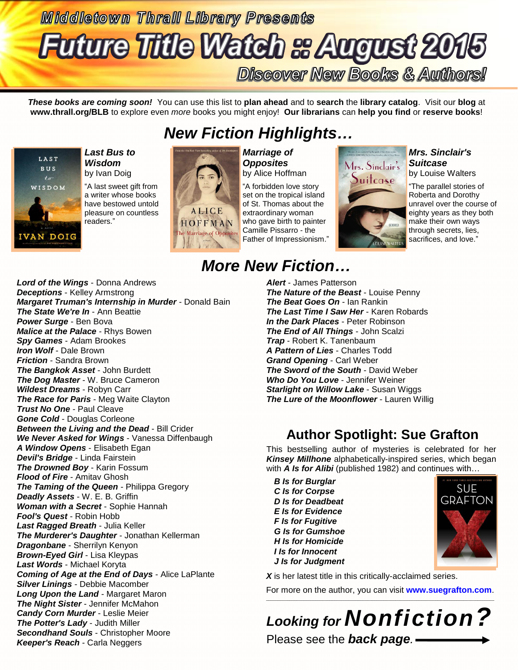# **Middletown Thrall Library Presents Future Title Watch & August 2015 Discover New Books & Authors!**

*These books are coming soon!* You can use this list to **plan ahead** and to **search** the **library catalog**. Visit our **blog** at **www.thrall.org/BLB** to explore even *more* books you might enjoy! **Our librarians** can **help you find** or **reserve books**!

# *New Fiction Highlights…*



*Last Bus to Wisdom* by Ivan Doig

"A last sweet gift from a writer whose books have bestowed untold pleasure on countless readers."



*Marriage of Opposites* by Alice Hoffman

"A forbidden love story set on the tropical island of St. Thomas about the extraordinary woman who gave birth to painter Camille Pissarro - the Father of Impressionism."

# Mrs. Sinclair's Suitcase

### *Mrs. Sinclair's Suitcase*

by Louise Walters

"The parallel stories of Roberta and Dorothy unravel over the course of eighty years as they both make their own ways through secrets, lies, sacrifices, and love."

# *More New Fiction…*

*Lord of the Wings* - Donna Andrews *Deceptions* - Kelley Armstrong *Margaret Truman's Internship in Murder* - Donald Bain *The State We're In* - Ann Beattie *Power Surge* - Ben Bova *Malice at the Palace* - Rhys Bowen *Spy Games* - Adam Brookes *Iron Wolf* - Dale Brown *Friction* - Sandra Brown *The Bangkok Asset* - John Burdett *The Dog Master* - W. Bruce Cameron *Wildest Dreams* - Robyn Carr *The Race for Paris* - Meg Waite Clayton *Trust No One* - Paul Cleave *Gone Cold* - Douglas Corleone *Between the Living and the Dead* - Bill Crider *We Never Asked for Wings* - Vanessa Diffenbaugh *A Window Opens* - Elisabeth Egan *Devil's Bridge* - Linda Fairstein *The Drowned Boy* - Karin Fossum *Flood of Fire* - Amitav Ghosh *The Taming of the Queen* - Philippa Gregory *Deadly Assets* - W. E. B. Griffin *Woman with a Secret* - Sophie Hannah *Fool's Quest* - Robin Hobb *Last Ragged Breath* - Julia Keller *The Murderer's Daughter* - Jonathan Kellerman *Dragonbane* - Sherrilyn Kenyon *Brown-Eyed Girl* - Lisa Kleypas *Last Words* - Michael Koryta *Coming of Age at the End of Days* - Alice LaPlante *Silver Linings* - Debbie Macomber *Long Upon the Land* - Margaret Maron *The Night Sister* - Jennifer McMahon *Candy Corn Murder* - Leslie Meier *The Potter's Lady* - Judith Miller *Secondhand Souls* - Christopher Moore *Keeper's Reach* - Carla Neggers

*Alert* - James Patterson *The Nature of the Beast* - Louise Penny *The Beat Goes On* - Ian Rankin *The Last Time I Saw Her* - Karen Robards *In the Dark Places* - Peter Robinson *The End of All Things* - John Scalzi *Trap* - Robert K. Tanenbaum *A Pattern of Lies* - Charles Todd *Grand Opening* - Carl Weber *The Sword of the South* - David Weber *Who Do You Love* - Jennifer Weiner *Starlight on Willow Lake* - Susan Wiggs *The Lure of the Moonflower* - Lauren Willig

## **Author Spotlight: Sue Grafton**

This bestselling author of mysteries is celebrated for her *Kinsey Millhone* alphabetically-inspired series, which began with *A Is for Alibi* (published 1982) and continues with…

*B Is for Burglar C Is for Corpse D Is for Deadbeat E Is for Evidence F Is for Fugitive G Is for Gumshoe H Is for Homicide I Is for Innocent J Is for Judgment*



X is her latest title in this critically-acclaimed series.

For more on the author, you can visit **[www.suegrafton.com](http://www.suegrafton.com/)**. \_\_\_\_\_\_\_\_\_\_\_\_\_\_\_\_\_\_\_\_\_\_\_\_\_\_\_\_\_\_\_\_\_\_\_\_\_\_\_\_\_\_\_\_\_\_\_\_\_\_\_\_\_\_\_\_\_\_\_\_\_\_\_\_\_\_\_\_\_\_\_\_\_\_\_\_\_\_\_\_\_\_\_\_\_\_\_\_\_\_\_\_\_\_\_\_\_

*Looking for Nonfiction?* Please see the *back page.*